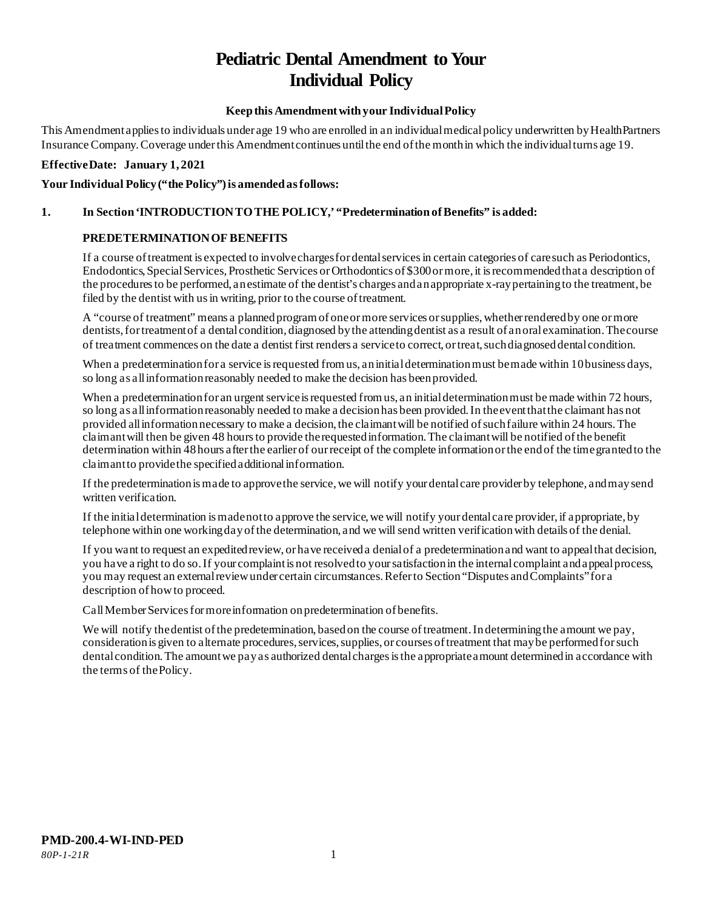# **Pediatric Dental Amendment to Your Individual Policy**

## **Keep this Amendment with your Individual Policy**

This Amendment applies to individuals under age 19 who are enrolled in an individual medical policy underwritten by HealthPartners Insurance Company. Coverage under this Amendment continues until the end of the month in which the individual turns age 19.

#### **Effective Date: January 1, 2021**

#### Your Individual Policy ("the Policy") is amended as follows:

## **1. In Section 'INTRODUCTION TO THE POLICY,' "Predetermination of Benefits" is added:**

#### **PREDETERMINATION OF BENEFITS**

If a course of treatment is expected to involve charges for dental services in certain categories of care such as Periodontics, Endodontics, Special Services, Prosthetic Services or Orthodontics of \$300 or more, it is recommended that a description of the procedures to be performed, an estimate of the dentist's charges and an appropriate x-ray pertaining to the treatment, be filed by the dentist with us in writing, prior to the course of treatment.

A "course of treatment" means a planned program of one or more services or supplies, whether rendered by one or more dentists, for treatment of a dental condition, diagnosed by the attending dentist as a result of an oral examination. The course of treatment commences on the date a dentist first renders a service to correct, or treat, such diagnosed dental condition.

When a predetermination for a service is requested from us, an initial determination must be made within 10 business days, so long as all information reasonably needed to make the decision has been provided.

When a predetermination for an urgent service is requested from us, an initial determination must be made within 72 hours, so long as all information reasonably needed to make a decision has been provided. In the event that the claimant has not provided all information necessary to make a decision, the claimant will be notified of such failure within 24 hours. The claimant will then be given 48 hours to provide the requested information. The claimant will be notified of the benefit determination within 48 hours after the earlier of our receipt of the complete information or the end of the time granted to the claimant to provide the specified additional information.

If the predetermination is made to approve the service, we will notify your dental care provider by telephone, and may send written verification.

If the initial determination is made not to approve the service, we will notify your dental care provider, if appropriate, by telephone within one working day of the determination, and we will send written verification with details of the denial.

If you want to request an expedited review, or have received a denial of a predetermination and want to appeal that decision, you have a right to do so. If your complaint is not resolved to your satisfaction in the internal complaint and appeal process, you may request an external review under certain circumstances. Refer to Section "Disputes and Complaints" for a description of how to proceed.

Call Member Services for more information on predetermination of benefits.

We will notify the dentist of the predetermination, based on the course of treatment. In determining the amount we pay, consideration is given to alternate procedures, services, supplies, or courses of treatment that may be performed for such dental condition. The amount we pay as authorized dental charges is the appropriate amount determined in accordance with the terms of thePolicy.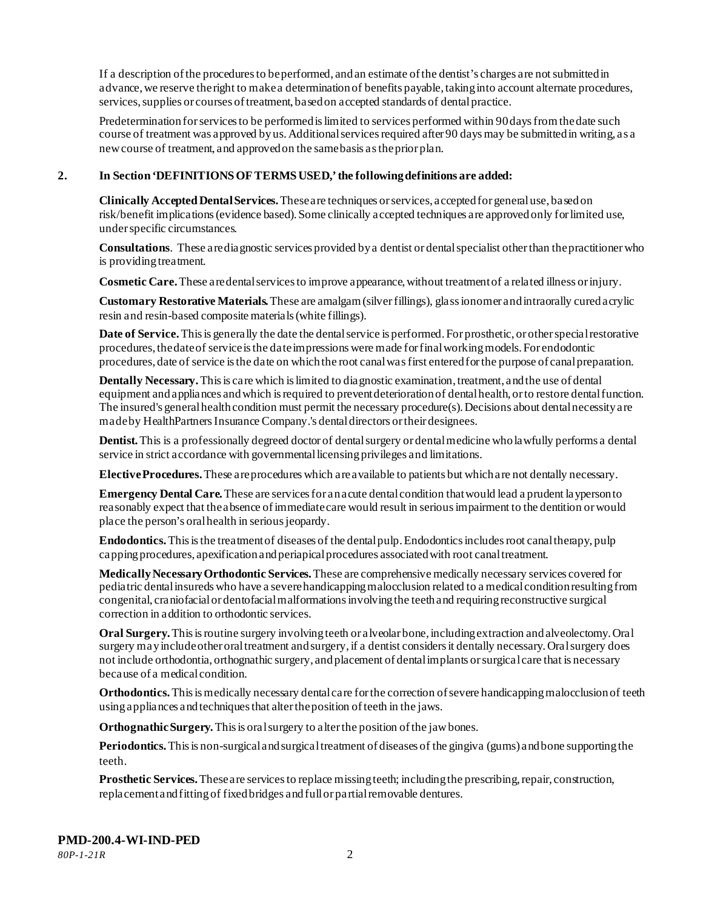If a description of the procedures to be performed, and an estimate of the dentist's charges are not submitted in advance, we reserve the right to make a determination of benefits payable, taking into account alternate procedures, services, supplies or courses of treatment, based on accepted standards of dental practice.

Predetermination for services to be performed is limited to services performed within 90 days from the date such course of treatment was approved by us. Additional services required after 90 days may be submitted in writing, as a new course of treatment, and approved on the same basis as the prior plan.

#### **2. In Section 'DEFINITIONS OF TERMS USED,' the following definitions are added:**

**Clinically Accepted Dental Services.** These are techniques or services, accepted for general use, based on risk/benefit implications (evidence based). Some clinically accepted techniques are approved only for limited use, under specific circumstances.

**Consultations**. These are diagnostic services provided by a dentist or dental specialist other than the practitioner who is providing treatment.

**Cosmetic Care.**These are dental services to improve appearance, without treatment of a related illness or injury.

**Customary Restorative Materials.** These are amalgam (silver fillings), glass ionomer and intraorally cured acrylic resin and resin-based composite materials (white fillings).

**Date of Service.** This is generally the date the dental service is performed. For prosthetic, or other special restorative procedures, the date of service is the date impressions were made for final working models. For endodontic procedures, date of service is the date on which the root canal was first entered for the purpose of canal preparation.

**Dentally Necessary.**This is care which is limited to diagnostic examination, treatment, and the use of dental equipment and appliances and which is required to prevent deterioration of dental health, or to restore dental function. The insured's general health condition must permit the necessary procedure(s). Decisions about dental necessity are made by HealthPartners Insurance Company.'s dental directors or their designees.

**Dentist.**This is a professionally degreed doctor of dental surgery or dental medicine who lawfully performs a dental service in strict accordance with governmental licensing privileges and limitations.

**Elective Procedures.**These are procedures which are available to patients but which are not dentally necessary.

**Emergency Dental Care.** These are services for an acute dental condition that would lead a prudent layperson to reasonably expect that the absence of immediate care would result in serious impairment to the dentition or would place the person's oral health in serious jeopardy.

**Endodontics.**This is the treatment of diseases of the dental pulp. Endodontics includes root canal therapy, pulp capping procedures, apexification and periapical procedures associated with root canal treatment.

**Medically Necessary Orthodontic Services.**These are comprehensive medically necessary services covered for pediatric dental insureds who have a severe handicapping malocclusion related to a medical condition resulting from congenital, craniofacial or dentofacial malformations involving the teeth and requiring reconstructive surgical correction in addition to orthodontic services.

**Oral Surgery.** This is routine surgery involving teeth or alveolar bone, including extraction and alveolectomy. Oral surgery may include other oral treatment and surgery, if a dentist considers it dentally necessary. Oral surgery does not include orthodontia, orthognathic surgery, and placement of dental implants or surgical care that is necessary because of a medical condition.

**Orthodontics.** This is medically necessary dental care for the correction of severe handicapping malocclusion of teeth using appliances and techniques that alter the position of teeth in the jaws.

**Orthognathic Surgery.** This is oral surgery to alter the position of the jaw bones.

**Periodontics.** This is non-surgical and surgical treatment of diseases of the gingiva (gums) and bone supporting the teeth.

**Prosthetic Services.**These are services to replace missing teeth; including the prescribing, repair, construction, replacement and fitting of fixed bridges and full or partial removable dentures.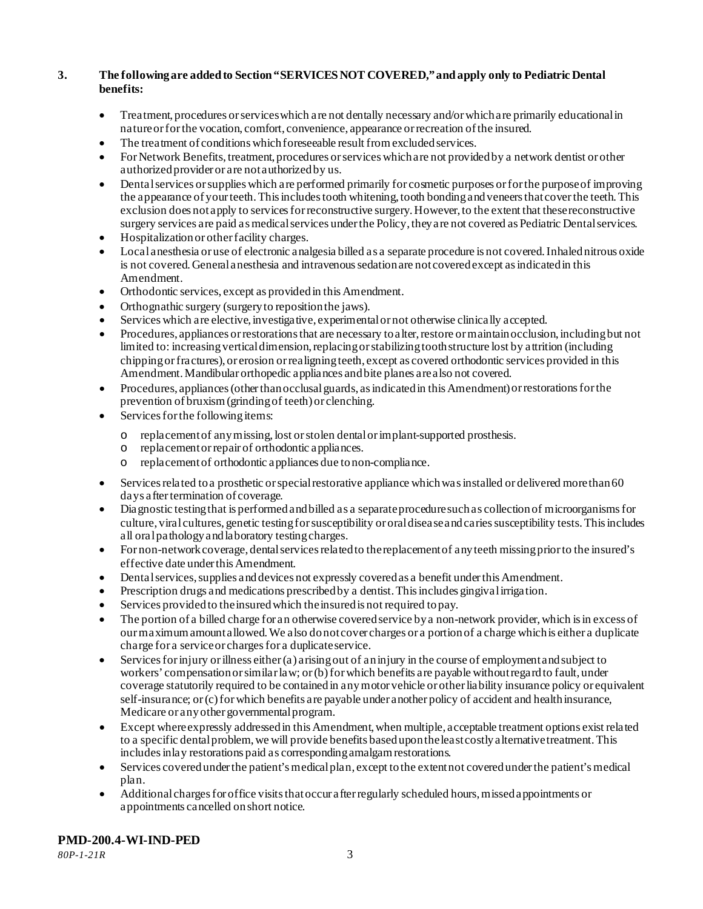## **3. The following are added to Section "SERVICES NOT COVERED," and apply only to Pediatric Dental benefits:**

- Treatment, procedures or services which are not dentally necessary and/or which are primarily educational in nature or for the vocation, comfort, convenience, appearance or recreation of the insured.
- The treatment of conditions which foreseeable result from excluded services.
- For Network Benefits, treatment, procedures or services which are not provided by a network dentist or other authorized provider or are not authorized by us.
- Dental services or supplies which are performed primarily for cosmetic purposes or for the purpose of improving the appearance of your teeth. This includes tooth whitening, tooth bonding and veneers that cover the teeth. This exclusion does not apply to services for reconstructive surgery. However, to the extent that these reconstructive surgery services are paid as medical services under the Policy, they are not covered as Pediatric Dental services.
- Hospitalization or other facility charges.
- Local anesthesia or use of electronic analgesia billed as a separate procedure is not covered. Inhaled nitrous oxide is not covered. General anesthesia and intravenous sedation are not covered except as indicated in this Amendment.
- Orthodontic services, except as provided in this Amendment.
- Orthognathic surgery (surgery to reposition the jaws).
- Services which are elective, investigative, experimental or not otherwise clinically accepted.
- Procedures, appliances or restorations that are necessary to alter, restore or maintain occlusion, including but not limited to: increasing vertical dimension, replacing or stabilizing tooth structure lost by attrition (including chipping or fractures), or erosion or realigning teeth, except as covered orthodontic services provided in this Amendment. Mandibular orthopedic appliances and bite planes are also not covered.
- Procedures, appliances (other than occlusal guards, as indicated in this Amendment) or restorations for the prevention of bruxism (grinding of teeth) or clenching.
- Services for the following items:
	- o replacement of any missing, lost or stolen dental or implant-supported prosthesis.
	- replacement or repair of orthodontic appliances.
	- o replacement of orthodontic appliances due to non-compliance.
- Services related to a prosthetic or special restorative appliance which was installed or delivered more than 60 days after termination of coverage.
- Diagnostic testing that is performed and billed as a separate procedure such as collection of microorganisms for culture, viral cultures, genetic testing for susceptibility or oral disease and caries susceptibility tests. This includes all oral pathology and laboratory testing charges.
- For non-network coverage, dental services related to the replacement of any teeth missing prior to the insured's effective date under this Amendment.
- Dental services, supplies and devices not expressly covered as a benefit under this Amendment.
- Prescription drugs and medications prescribed by a dentist. This includes gingival irrigation.
- Services provided to the insured which the insured is not required to pay.
- The portion of a billed charge for an otherwise covered service by a non-network provider, which is in excess of our maximum amount allowed. We also do not cover charges or a portion of a charge which is either a duplicate charge for a service or charges for a duplicate service.
- Services for injury or illness either (a) arising out of an injury in the course of employment and subject to workers' compensation or similar law; or (b) for which benefits are payable without regard to fault, under coverage statutorily required to be contained in any motor vehicle or other liability insurance policy or equivalent self-insurance; or (c) for which benefits are payable under another policy of accident and health insurance, Medicare or any other governmental program.
- Except where expressly addressed in this Amendment, when multiple, acceptable treatment options exist related to a specific dental problem, we will provide benefits based upon the least costly alternative treatment. This includes inlay restorations paid as corresponding amalgam restorations.
- Services covered under the patient's medical plan, except to the extent not covered under the patient's medical plan.
- Additional charges for office visits that occur after regularly scheduled hours, missed appointments or appointments cancelled on short notice.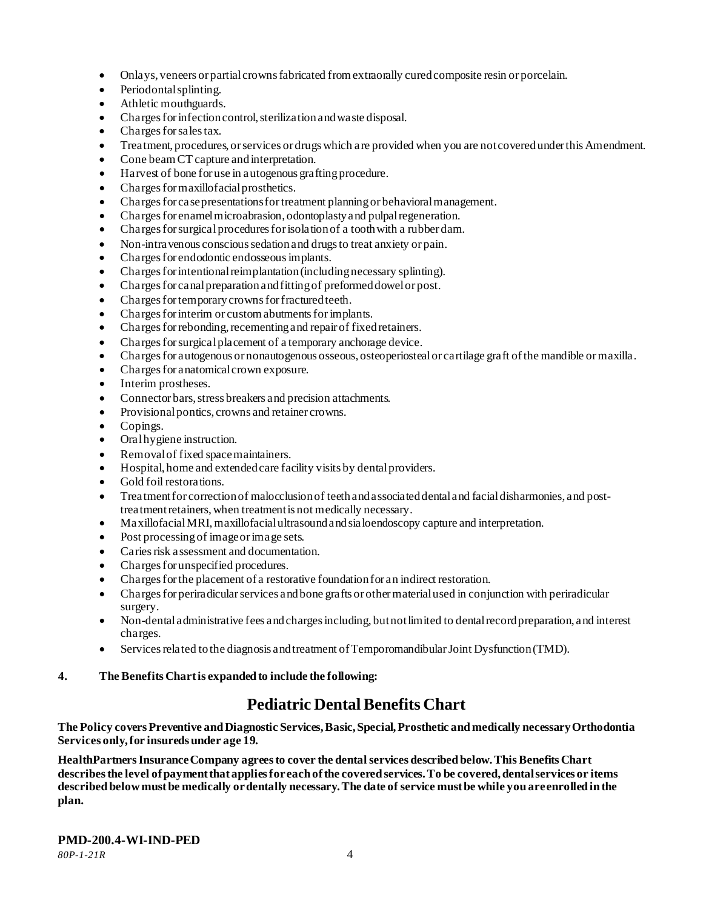- Onlays, veneers or partial crowns fabricated from extraorally cured composite resin or porcelain.
- Periodontal splinting.
- Athletic mouthguards.
- Charges for infection control, sterilization and waste disposal.
- Charges for sales tax.
- Treatment, procedures, or services or drugs which are provided when you are not covered under this Amendment.
- Cone beam CT capture and interpretation.
- Harvest of bone for use in autogenous grafting procedure.
- Charges for maxillofacial prosthetics.
- Charges for case presentations for treatment planning or behavioral management.
- Charges for enamel microabrasion, odontoplasty and pulpal regeneration.
- Charges for surgical procedures for isolationof a tooth with a rubber dam.
- Non-intravenous conscious sedation and drugs to treat anxiety or pain.
- Charges for endodontic endosseous implants.
- Charges for intentional reimplantation (including necessary splinting).
- Charges for canal preparation and fitting of preformed dowel or post.
- Charges for temporary crowns for fractured teeth.
- Charges for interim or custom abutments for implants.
- Charges for rebonding, recementing and repair of fixed retainers.
- Charges for surgical placement of a temporary anchorage device.
- Charges for autogenous or nonautogenous osseous, osteoperiosteal or cartilage graft of the mandible or maxilla.
- Charges for anatomical crown exposure.
- Interim prostheses.
- Connector bars, stress breakers and precision attachments.
- Provisional pontics, crowns and retainer crowns.
- Copings.
- Oral hygiene instruction.
- Removal of fixed space maintainers.
- Hospital, home and extended care facility visits by dental providers.
- Gold foil restorations.
- Treatment for correction of malocclusion of teeth and associated dental and facial disharmonies, and posttreatment retainers, when treatment is not medically necessary.
- Maxillofacial MRI, maxillofacial ultrasound and sialoendoscopy capture and interpretation.
- Post processing of image or image sets.
- Caries risk assessment and documentation.
- Charges for unspecified procedures.
- Charges for the placement of a restorative foundation for an indirect restoration.
- Charges for periradicular services and bone grafts or other material used in conjunction with periradicular surgery.
- Non-dental administrative fees and charges including, but not limited to dental record preparation, and interest charges.
- Services related to the diagnosis and treatment of Temporomandibular Joint Dysfunction (TMD).
- **4. The Benefits Chart is expanded to include the following:**

## **Pediatric Dental Benefits Chart**

**The Policy covers Preventive and Diagnostic Services, Basic, Special, Prosthetic and medically necessary Orthodontia Services only, for insureds under age 19.**

**HealthPartners Insurance Company agrees to cover the dental services described below. This Benefits Chart describes the level of payment that applies for each of the covered services. To be covered, dental services or items described below must be medically or dentally necessary. The date of service must be while you are enrolled in the plan.**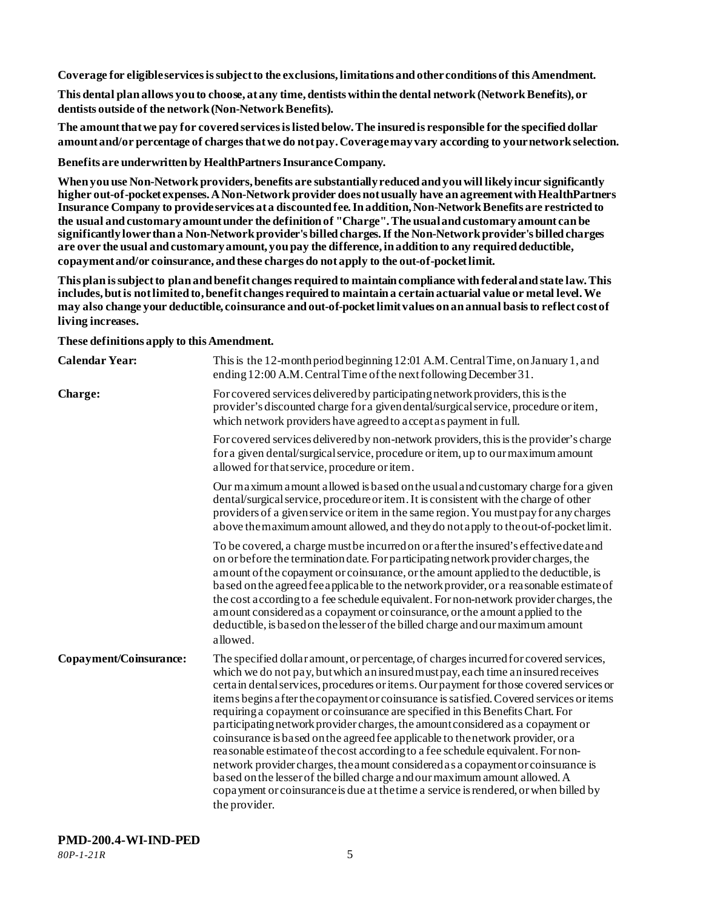**Coverage for eligible services is subject to the exclusions, limitations and other conditions of this Amendment.**

**This dental plan allows you to choose, at any time, dentists within the dental network (Network Benefits), or dentists outside of the network (Non-Network Benefits).**

**The amount that we pay for covered services is listed below. The insuredis responsible for the specified dollar amount and/or percentage of charges that we do not pay. Coverage may vary according to your network selection.**

**Benefits are underwritten by HealthPartners Insurance Company.**

**When you use Non-Network providers, benefits are substantially reduced and you will likely incur significantly higher out-of-pocket expenses. A Non-Network provider does not usually have an agreement with HealthPartners Insurance Company to provide services at a discounted fee. In addition, Non-Network Benefits are restricted to the usual and customary amount under the definition of "Charge". The usual and customary amount can be significantly lower than a Non-Network provider's billed charges. If the Non-Network provider's billed charges are over the usual and customary amount, you pay the difference, in addition to any required deductible, copayment and/or coinsurance, and these charges do not apply to the out-of-pocket limit.**

**This plan is subject to plan and benefit changes required to maintain compliance with federal and state law. This includes, but is not limited to, benefit changes required to maintain a certain actuarial value or metal level. We may also change your deductible, coinsurance and out-of-pocket limit values on an annual basis to reflect cost of living increases.**

**These definitions apply to this Amendment.**

| <b>Calendar Year:</b>  | This is the 12-month period beginning 12:01 A.M. Central Time, on January 1, and<br>ending 12:00 A.M. Central Time of the next following December 31.                                                                                                                                                                                                                                                                                                                                                                                                                                                                                                                                                                                                                                                                                                                                                                                                                                    |
|------------------------|------------------------------------------------------------------------------------------------------------------------------------------------------------------------------------------------------------------------------------------------------------------------------------------------------------------------------------------------------------------------------------------------------------------------------------------------------------------------------------------------------------------------------------------------------------------------------------------------------------------------------------------------------------------------------------------------------------------------------------------------------------------------------------------------------------------------------------------------------------------------------------------------------------------------------------------------------------------------------------------|
| Charge:                | For covered services delivered by participating network providers, this is the<br>provider's discounted charge for a given dental/surgical service, procedure or item,<br>which network providers have agreed to accept as payment in full.                                                                                                                                                                                                                                                                                                                                                                                                                                                                                                                                                                                                                                                                                                                                              |
|                        | For covered services delivered by non-network providers, this is the provider's charge<br>for a given dental/surgical service, procedure or item, up to our maximum amount<br>allowed for that service, procedure or item.                                                                                                                                                                                                                                                                                                                                                                                                                                                                                                                                                                                                                                                                                                                                                               |
|                        | Our maximum amount allowed is based on the usual and customary charge for a given<br>dental/surgical service, procedure or item. It is consistent with the charge of other<br>providers of a given service or item in the same region. You must pay for any charges<br>above the maximum amount allowed, and they do not apply to the out-of-pocket limit.                                                                                                                                                                                                                                                                                                                                                                                                                                                                                                                                                                                                                               |
|                        | To be covered, a charge must be incurred on or after the insured's effective date and<br>on or before the termination date. For participating network provider charges, the<br>amount of the copayment or coinsurance, or the amount applied to the deductible, is<br>based on the agreed fee applicable to the network provider, or a reasonable estimate of<br>the cost according to a fee schedule equivalent. For non-network provider charges, the<br>amount considered as a copayment or coinsurance, or the amount applied to the<br>deductible, is based on the lesser of the billed charge and our maximum amount<br>allowed.                                                                                                                                                                                                                                                                                                                                                   |
| Copayment/Coinsurance: | The specified dollar amount, or percentage, of charges incurred for covered services,<br>which we do not pay, but which an insured must pay, each time an insured receives<br>certain dental services, procedures or items. Our payment for those covered services or<br>items begins a fter the copayment or coinsurance is satisfied. Covered services or items<br>requiring a copayment or coinsurance are specified in this Benefits Chart. For<br>participating network provider charges, the amount considered as a copayment or<br>coinsurance is based on the agreed fee applicable to the network provider, or a<br>reasonable estimate of the cost according to a fee schedule equivalent. For non-<br>network provider charges, the amount considered as a copayment or coinsurance is<br>based on the lesser of the billed charge and our maximum amount allowed. A<br>copayment or coinsurance is due at the time a service is rendered, or when billed by<br>the provider. |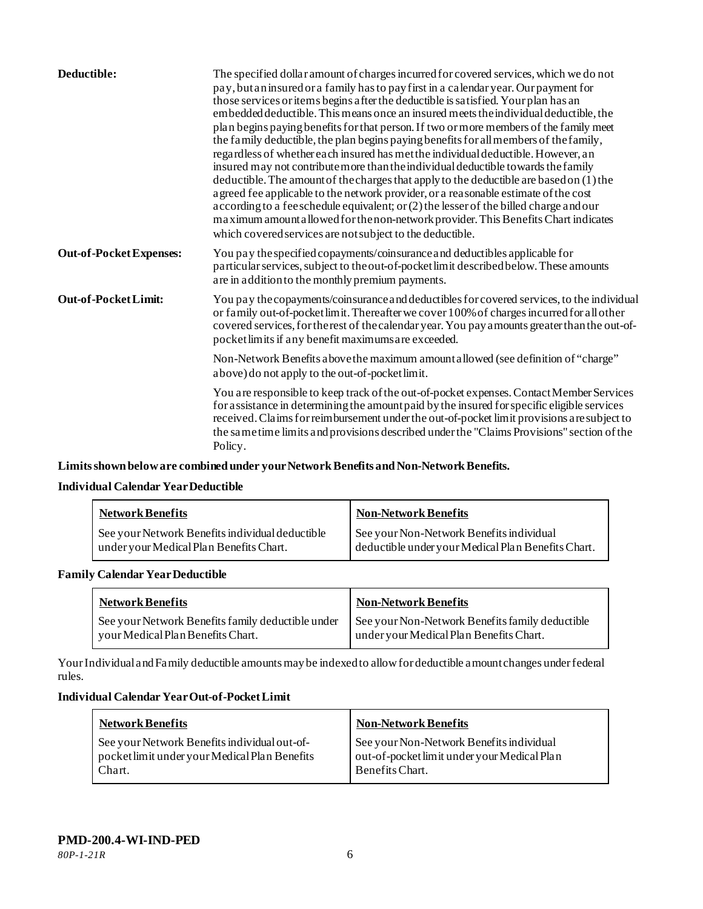| Deductible:                    | The specified dollar amount of charges incurred for covered services, which we do not<br>pay, but an insured or a family has to pay first in a calendar year. Our payment for<br>those services or items begins a fter the deductible is satisfied. Your plan has an<br>embedded deductible. This means once an insured meets the individual deductible, the<br>plan begins paying benefits for that person. If two or more members of the family meet<br>the family deductible, the plan begins paying benefits for all members of the family,<br>regardless of whether each insured has met the individual deductible. However, an<br>insured may not contribute more than the individual deductible towards the family<br>deductible. The amount of the charges that apply to the deductible are based on (1) the<br>a greed fee applicable to the network provider, or a reasonable estimate of the cost<br>according to a fee schedule equivalent; or (2) the lesser of the billed charge and our<br>maximum amount a llowed for the non-network provider. This Benefits Chart indicates<br>which covered services are not subject to the deductible. |
|--------------------------------|------------------------------------------------------------------------------------------------------------------------------------------------------------------------------------------------------------------------------------------------------------------------------------------------------------------------------------------------------------------------------------------------------------------------------------------------------------------------------------------------------------------------------------------------------------------------------------------------------------------------------------------------------------------------------------------------------------------------------------------------------------------------------------------------------------------------------------------------------------------------------------------------------------------------------------------------------------------------------------------------------------------------------------------------------------------------------------------------------------------------------------------------------------|
| <b>Out-of-Pocket Expenses:</b> | You pay the specified copayments/coinsurance and deductibles applicable for<br>particular services, subject to the out-of-pocket limit described below. These amounts<br>are in addition to the monthly premium payments.                                                                                                                                                                                                                                                                                                                                                                                                                                                                                                                                                                                                                                                                                                                                                                                                                                                                                                                                  |
| Out-of-Pocket Limit:           | You pay the copayments/coinsurance and deductibles for covered services, to the individual<br>or family out-of-pocket limit. Thereafter we cover 100% of charges incurred for all other<br>covered services, for the rest of the calendar year. You pay a mounts greater than the out-of-<br>pocket limits if any benefit maximums are exceeded.                                                                                                                                                                                                                                                                                                                                                                                                                                                                                                                                                                                                                                                                                                                                                                                                           |
|                                | Non-Network Benefits a bove the maximum amount allowed (see definition of "charge"<br>above) do not apply to the out-of-pocket limit.                                                                                                                                                                                                                                                                                                                                                                                                                                                                                                                                                                                                                                                                                                                                                                                                                                                                                                                                                                                                                      |
|                                | You are responsible to keep track of the out-of-pocket expenses. Contact Member Services<br>for assistance in determining the amount paid by the insured for specific eligible services<br>received. Claims for reimbursement under the out-of-pocket limit provisions are subject to<br>the same time limits and provisions described under the "Claims Provisions" section of the<br>Policy.                                                                                                                                                                                                                                                                                                                                                                                                                                                                                                                                                                                                                                                                                                                                                             |

**Limits shown below are combined under your Network Benefits and Non-Network Benefits.**

## **Individual Calendar Year Deductible**

| <b>Network Benefits</b>                         | <b>Non-Network Benefits</b>                        |
|-------------------------------------------------|----------------------------------------------------|
| See your Network Benefits individual deductible | See your Non-Network Benefits individual           |
| under your Medical Plan Benefits Chart.         | deductible under your Medical Plan Benefits Chart. |

## **Family Calendar Year Deductible**

| <b>Network Benefits</b>                           | <b>Non-Network Benefits</b>                     |
|---------------------------------------------------|-------------------------------------------------|
| See your Network Benefits family deductible under | See your Non-Network Benefits family deductible |
| your Medical Plan Benefits Chart.                 | under your Medical Plan Benefits Chart.         |

Your Individual and Family deductible amounts may be indexed to allow for deductible amount changes under federal rules.

#### **Individual Calendar Year Out-of-Pocket Limit**

| <b>Network Benefits</b>                                                                                 | <b>Non-Network Benefits</b>                                                                                |
|---------------------------------------------------------------------------------------------------------|------------------------------------------------------------------------------------------------------------|
| See your Network Benefits individual out-of-<br>pocket limit under your Medical Plan Benefits<br>Chart. | See your Non-Network Benefits individual<br>out-of-pocket limit under your Medical Plan<br>Benefits Chart. |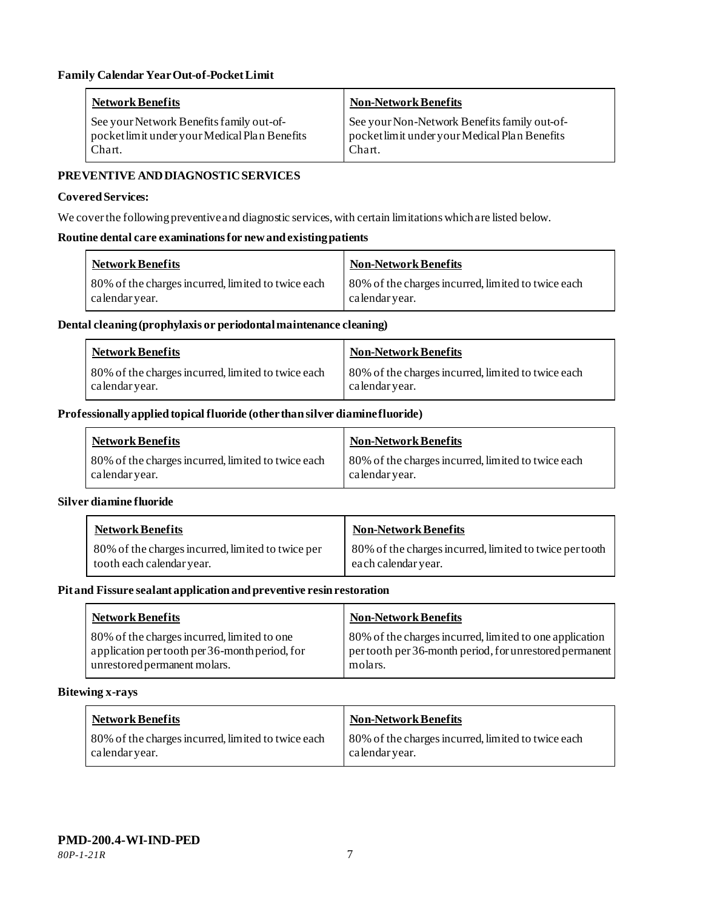| Network Benefits                              | <b>Non-Network Benefits</b>                   |
|-----------------------------------------------|-----------------------------------------------|
| See your Network Benefits family out-of-      | See your Non-Network Benefits family out-of-  |
| pocket limit under your Medical Plan Benefits | pocket limit under your Medical Plan Benefits |
| Chart.                                        | Chart.                                        |

## **PREVENTIVE AND DIAGNOSTICSERVICES**

#### **Covered Services:**

We cover the following preventive and diagnostic services, with certain limitations which are listed below.

#### **Routine dental care examinations for new and existing patients**

| <b>Network Benefits</b>                            | Non-Network Benefits                               |
|----------------------------------------------------|----------------------------------------------------|
| 80% of the charges incurred, limited to twice each | 80% of the charges incurred, limited to twice each |
| calendar year.                                     | calendar vear.                                     |

#### **Dental cleaning (prophylaxis or periodontal maintenance cleaning)**

| <b>Network Benefits</b>                            | Non-Network Benefits                               |
|----------------------------------------------------|----------------------------------------------------|
| 80% of the charges incurred, limited to twice each | 80% of the charges incurred, limited to twice each |
| calendar year.                                     | calendar year.                                     |

#### **Professionally applied topical fluoride (other than silver diamine fluoride)**

| <b>Network Benefits</b>                                              | <b>Non-Network Benefits</b>                                          |
|----------------------------------------------------------------------|----------------------------------------------------------------------|
| 80% of the charges incurred, limited to twice each<br>calendar year. | 80% of the charges incurred, limited to twice each<br>calendar year. |

#### **Silver diamine fluoride**

| <b>Network Benefits</b>                           | <b>Non-Network Benefits</b>                             |
|---------------------------------------------------|---------------------------------------------------------|
| 80% of the charges incurred, limited to twice per | 80% of the charges incurred, limited to twice per tooth |
| tooth each calendar year.                         | each calendar year.                                     |

#### **Pit and Fissure sealant application and preventive resin restoration**

| <b>Network Benefits</b>                        | <b>Non-Network Benefits</b>                             |
|------------------------------------------------|---------------------------------------------------------|
| 80% of the charges incurred, limited to one    | 80% of the charges incurred, limited to one application |
| application per tooth per 36-month period, for | pertooth per 36-month period, for unrestored permanent  |
| unrestored permanent molars.                   | molars.                                                 |

#### **Bitewing x-rays**

| <b>Network Benefits</b>                                             | <b>Non-Network Benefits</b>                                          |
|---------------------------------------------------------------------|----------------------------------------------------------------------|
| 80% of the charges incurred, limited to twice each<br>calendaryear. | 80% of the charges incurred, limited to twice each<br>calendar year. |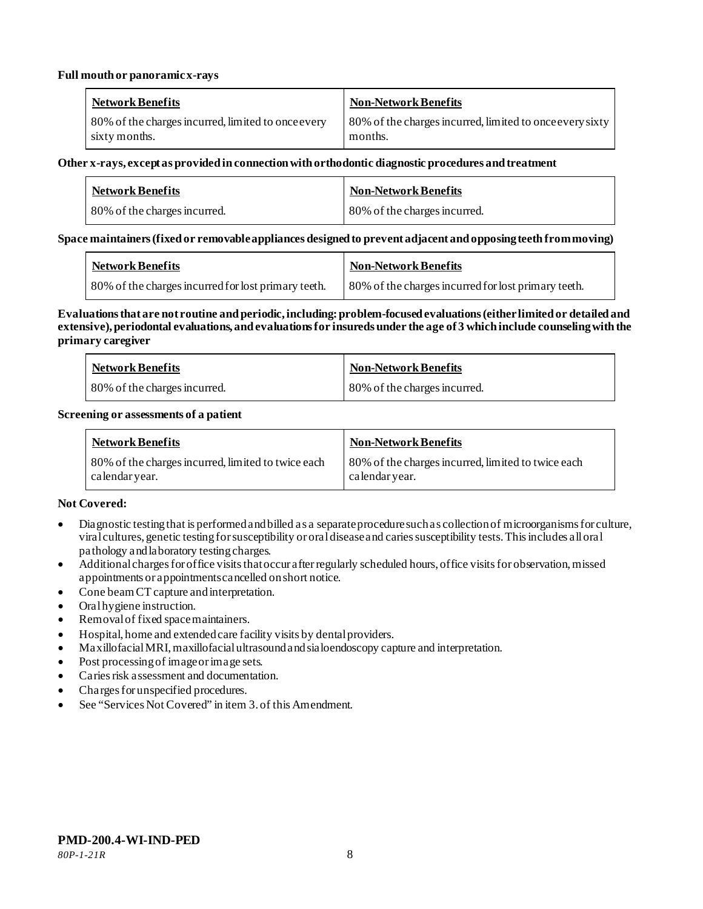#### **Full mouth or panoramic x-rays**

| <b>Network Benefits</b>                            | <b>Non-Network Benefits</b>                              |
|----------------------------------------------------|----------------------------------------------------------|
| 80% of the charges incurred, limited to once every | 80% of the charges incurred, limited to once every sixty |
| sixty months.                                      | months.                                                  |

#### **Other x-rays, except as provided in connection with orthodontic diagnostic procedures and treatment**

| <b>Network Benefits</b>      | <b>Non-Network Benefits</b>  |
|------------------------------|------------------------------|
| 80% of the charges incurred. | 80% of the charges incurred. |

#### **Space maintainers (fixed or removable appliances designed to prevent adjacent and opposing teeth from moving)**

| <b>Network Benefits</b>                             | Non-Network Benefits                                |
|-----------------------------------------------------|-----------------------------------------------------|
| 80% of the charges incurred for lost primary teeth. | 80% of the charges incurred for lost primary teeth. |

#### **Evaluations that are not routine and periodic, including: problem-focused evaluations (either limited or detailed and extensive), periodontal evaluations, and evaluations for insureds under the age of 3 which include counseling with the primary caregiver**

| <b>Network Benefits</b>      | <b>Non-Network Benefits</b>  |
|------------------------------|------------------------------|
| 80% of the charges incurred. | 80% of the charges incurred. |

#### **Screening or assessments of a patient**

| <b>Network Benefits</b>                                             | <b>Non-Network Benefits</b>                                          |
|---------------------------------------------------------------------|----------------------------------------------------------------------|
| 80% of the charges incurred, limited to twice each<br>calendaryear. | 80% of the charges incurred, limited to twice each<br>calendar year. |

#### **Not Covered:**

- Diagnostic testing that is performed and billed as a separate procedure such as collection of microorganisms for culture, viral cultures, genetic testing for susceptibility or oral disease and caries susceptibility tests. This includes all oral pathology and laboratory testing charges.
- Additional charges for office visits that occur after regularly scheduled hours, office visits for observation, missed appointments or appointments cancelled on short notice.
- Cone beam CT capture and interpretation.
- Oral hygiene instruction.
- Removal of fixed space maintainers.
- Hospital, home and extended care facility visits by dental providers.
- Maxillofacial MRI, maxillofacial ultrasound and sialoendoscopy capture and interpretation.
- Post processing of image or image sets.
- Caries risk assessment and documentation.
- Charges for unspecified procedures.
- See "Services Not Covered" in item 3. of this Amendment.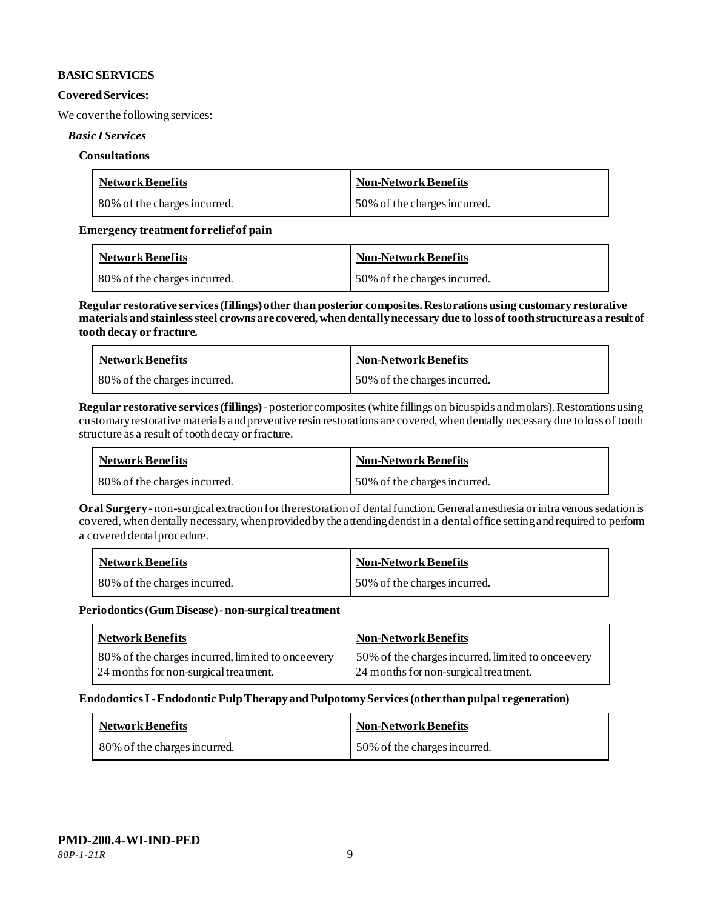#### **BASIC SERVICES**

#### **Covered Services:**

We cover the following services:

#### *Basic I Services*

#### **Consultations**

| <b>Network Benefits</b>      | <b>Non-Network Benefits</b>  |
|------------------------------|------------------------------|
| 80% of the charges incurred. | 50% of the charges incurred. |

#### **Emergency treatment for relief of pain**

| <b>Network Benefits</b>      | <b>Non-Network Benefits</b>  |
|------------------------------|------------------------------|
| 80% of the charges incurred. | 50% of the charges incurred. |

**Regular restorative services (fillings) other than posterior composites. Restorations using customary restorative materials and stainless steel crowns are covered, when dentally necessary due to loss of tooth structure as a result of tooth decay or fracture.**

| <b>Network Benefits</b>      | <b>Non-Network Benefits</b>  |
|------------------------------|------------------------------|
| 80% of the charges incurred. | 50% of the charges incurred. |

**Regular restorative services (fillings)**- posterior composites (white fillings on bicuspids and molars).Restorations using customary restorative materials and preventive resin restorations are covered, when dentally necessary due to loss of tooth structure as a result of tooth decay or fracture.

| <b>Network Benefits</b>      | Non-Network Benefits         |
|------------------------------|------------------------------|
| 80% of the charges incurred. | 50% of the charges incurred. |

**Oral Surgery** - non-surgical extraction for the restoration of dental function.General anesthesia or intravenous sedation is covered, when dentally necessary, when provided by the attending dentist in a dental office setting and required to perform a covered dental procedure.

| <b>Network Benefits</b>      | <b>Non-Network Benefits</b>  |
|------------------------------|------------------------------|
| 80% of the charges incurred. | 50% of the charges incurred. |

**Periodontics (Gum Disease) -non-surgical treatment**

| <b>Network Benefits</b>                                                                     | <b>Non-Network Benefits</b>                                                                 |
|---------------------------------------------------------------------------------------------|---------------------------------------------------------------------------------------------|
| 80% of the charges incurred, limited to once every<br>24 months for non-surgical treatment. | 50% of the charges incurred, limited to once every<br>24 months for non-surgical treatment. |

#### **Endodontics I -Endodontic Pulp Therapy and Pulpotomy Services (other than pulpal regeneration)**

| <b>Network Benefits</b>      | <b>Non-Network Benefits</b>  |
|------------------------------|------------------------------|
| 80% of the charges incurred. | 50% of the charges incurred. |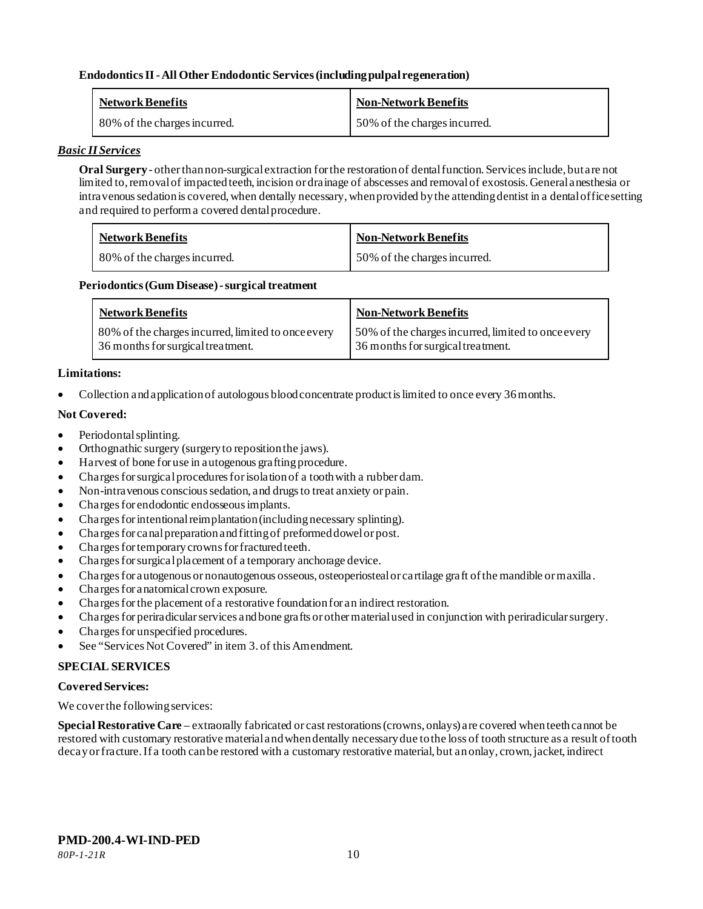## **Endodontics II -All Other Endodontic Services (including pulpal regeneration)**

| <b>Network Benefits</b>      | <b>Non-Network Benefits</b>  |
|------------------------------|------------------------------|
| 80% of the charges incurred. | 50% of the charges incurred. |

#### *Basic II Services*

**Oral Surgery** - other than non-surgical extraction for the restoration of dental function. Services include, but are not limited to, removal of impacted teeth, incision or drainage of abscesses and removal of exostosis. General anesthesia or intravenous sedation is covered, when dentally necessary, when provided by the attending dentist in a dental office setting and required to perform a covered dental procedure.

| <b>Network Benefits</b>      | <b>Non-Network Benefits</b>  |
|------------------------------|------------------------------|
| 80% of the charges incurred. | 50% of the charges incurred. |

#### Periodontics (Gum Disease) - surgical treatment

| <b>Network Benefits</b>                            | <b>Non-Network Benefits</b>                        |
|----------------------------------------------------|----------------------------------------------------|
| 80% of the charges incurred, limited to once every | 50% of the charges incurred, limited to once every |
| 36 months for surgical treatment.                  | 36 months for surgical treatment.                  |

#### **Limitations:**

• Collection and application of autologous blood concentrate product is limited to once every 36 months.

#### **Not Covered:**

- Periodontal splinting.
- Orthognathic surgery (surgery to reposition the jaws).
- Harvest of bone for use in autogenous grafting procedure.
- Charges for surgical procedures for isolation of a tooth with a rubber dam.
- Non-intravenous conscious sedation, and drugs to treat anxiety or pain.
- Charges for endodontic endosseous implants.
- Charges for intentional reimplantation (including necessary splinting).
- Charges for canal preparation and fitting of preformed dowel or post.
- Charges for temporary crowns for fractured teeth.
- Charges for surgical placement of a temporary anchorage device.
- Charges for autogenous or nonautogenous osseous, osteoperiosteal or cartilage graft of the mandible or maxilla.
- Charges for anatomical crown exposure.
- Charges for the placement of a restorative foundation for an indirect restoration.
- Charges for periradicular services and bone grafts or other material used in conjunction with periradicular surgery.
- Charges for unspecified procedures.
- See "Services Not Covered" in item 3. of this Amendment.

#### **SPECIAL SERVICES**

#### **Covered Services:**

We cover the following services:

**Special Restorative Care** – extraorally fabricated or cast restorations (crowns, onlays) are covered when teeth cannot be restored with customary restorative material and when dentally necessary due to the loss of tooth structure as a result of tooth decay or fracture. If a tooth can be restored with a customary restorative material, but an onlay, crown, jacket, indirect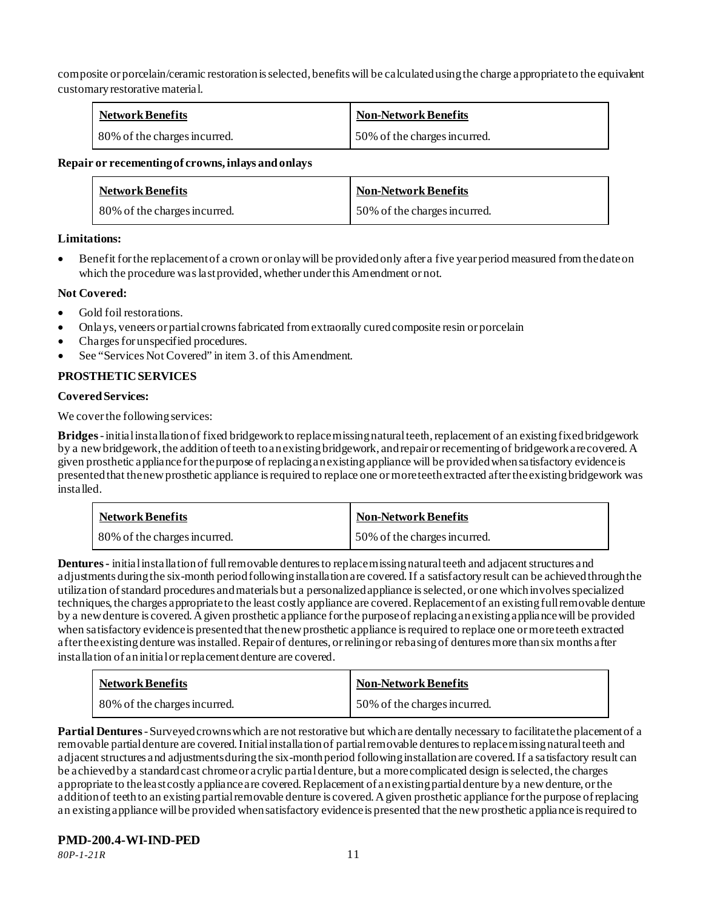composite or porcelain/ceramic restoration is selected, benefits will be calculated using the charge appropriate to the equivalent customary restorative material.

| <b>Network Benefits</b>      | <b>Non-Network Benefits</b>  |
|------------------------------|------------------------------|
| 80% of the charges incurred. | 50% of the charges incurred. |

#### **Repair or recementing of crowns, inlays and onlays**

| <b>Network Benefits</b>      | <b>Non-Network Benefits</b>  |
|------------------------------|------------------------------|
| 80% of the charges incurred. | 50% of the charges incurred. |

## **Limitations:**

• Benefit for the replacement of a crown or onlay will be provided only after a five year period measured from the date on which the procedure was last provided, whether under this Amendment or not.

## **Not Covered:**

- Gold foil restorations.
- Onlays, veneers or partial crowns fabricated from extraorally cured composite resin or porcelain
- Charges for unspecified procedures.
- See "Services Not Covered" in item 3. of this Amendment.

## **PROSTHETIC SERVICES**

#### **Covered Services:**

We cover the following services:

**Bridges** -initial installation of fixed bridgework to replace missing natural teeth, replacement of an existing fixed bridgework by a new bridgework, the addition of teeth to an existing bridgework, and repair or recementing of bridgework are covered. A given prosthetic appliance for the purpose of replacing an existing appliance will be provided when satisfactory evidence is presented that the new prosthetic appliance is required to replace one or more teeth extracted after the existing bridgework was installed.

| <b>Network Benefits</b>      | <b>Non-Network Benefits</b>  |
|------------------------------|------------------------------|
| 80% of the charges incurred. | 50% of the charges incurred. |

**Dentures -** initial installation of full removable dentures to replace missing natural teeth and adjacent structures and adjustments during the six-month period following installation are covered. If a satisfactory result can be achieved through the utilization of standard procedures and materials but a personalized appliance is selected, or one which involves specialized techniques, the charges appropriate to the least costly appliance are covered. Replacement of an existing full removable denture by a new denture is covered. A given prosthetic appliance for the purpose of replacing an existing appliance will be provided when satisfactory evidence is presented that the new prosthetic appliance is required to replace one or more teeth extracted after the existing denture was installed. Repair of dentures, or relining or rebasing of dentures more than six months after installation of an initial or replacement denture are covered.

| <b>Network Benefits</b>      | <b>Non-Network Benefits</b>  |
|------------------------------|------------------------------|
| 80% of the charges incurred. | 50% of the charges incurred. |

**Partial Dentures** -Surveyed crowns which are not restorative but which are dentally necessary to facilitate the placement of a removable partial denture are covered. Initial installation of partial removable dentures to replace missing natural teeth and adjacent structures and adjustments during the six-month period following installation are covered. If a satisfactory result can be achieved by a standard cast chrome or acrylic partial denture, but a more complicated design is selected, the charges appropriate to the least costly appliance are covered. Replacement of an existing partial denture by a new denture, or the addition of teeth to an existing partial removable denture is covered. A given prosthetic appliance for the purpose of replacing an existing appliance will be provided when satisfactory evidence is presented that the new prosthetic appliance is required to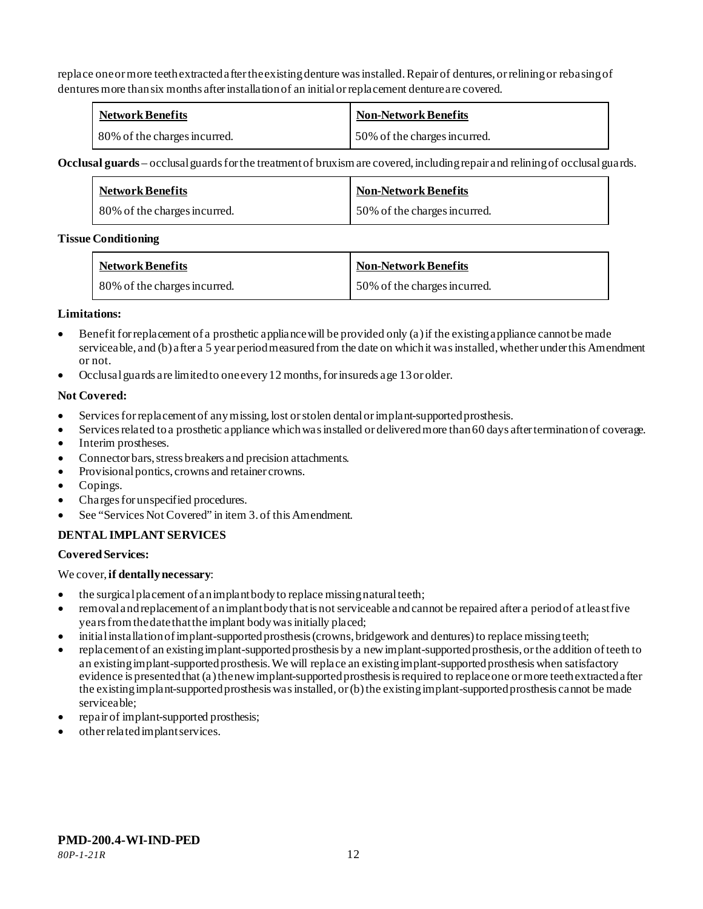replace one or more teeth extracted after the existing denture was installed. Repair of dentures, or relining or rebasing of dentures more than six months after installation of an initial or replacement denture are covered.

| <b>Network Benefits</b>      | <b>Non-Network Benefits</b>  |
|------------------------------|------------------------------|
| 80% of the charges incurred. | 50% of the charges incurred. |

**Occlusal guards** – occlusal guards for the treatment of bruxism are covered, including repair and relining of occlusal guards.

| <b>Network Benefits</b>      | <b>Non-Network Benefits</b>  |
|------------------------------|------------------------------|
| 80% of the charges incurred. | 50% of the charges incurred. |

#### **Tissue Conditioning**

| <b>Network Benefits</b>      | <b>Non-Network Benefits</b>  |
|------------------------------|------------------------------|
| 80% of the charges incurred. | 50% of the charges incurred. |

## **Limitations:**

- Benefit for replacement of a prosthetic appliance will be provided only (a) if the existing appliance cannot be made serviceable, and (b) after a 5 year period measured from the date on which it was installed, whether under this Amendment or not.
- Occlusal guards are limited to one every 12 months, for insureds age 13 or older.

## **Not Covered:**

- Services for replacement of any missing, lost or stolen dental or implant-supported prosthesis.
- Services related to a prosthetic appliance which was installed or delivered more than 60 days after termination of coverage.
- Interim prostheses.
- Connector bars, stress breakers and precision attachments.
- Provisional pontics, crowns and retainer crowns.
- Copings.
- Charges for unspecified procedures.
- See "Services Not Covered" in item 3. of this Amendment.

## **DENTAL IMPLANT SERVICES**

## **Covered Services:**

We cover, **if dentally necessary**:

- the surgical placement of an implant body to replace missing natural teeth;
- removal and replacement of an implant body that is not serviceable and cannot be repaired after a period of at least five years from the date that the implant body was initially placed;
- initial installation of implant-supported prosthesis (crowns, bridgework and dentures) to replace missing teeth;
- replacement of an existing implant-supported prosthesis by a new implant-supported prosthesis, or the addition of teeth to an existing implant-supported prosthesis. We will replace an existing implant-supported prosthesis when satisfactory evidence is presented that (a) the new implant-supported prosthesis is required to replace one or more teeth extracted after the existing implant-supported prosthesis was installed, or (b) the existing implant-supported prosthesis cannot be made serviceable;
- repair of implant-supported prosthesis;
- other related implant services.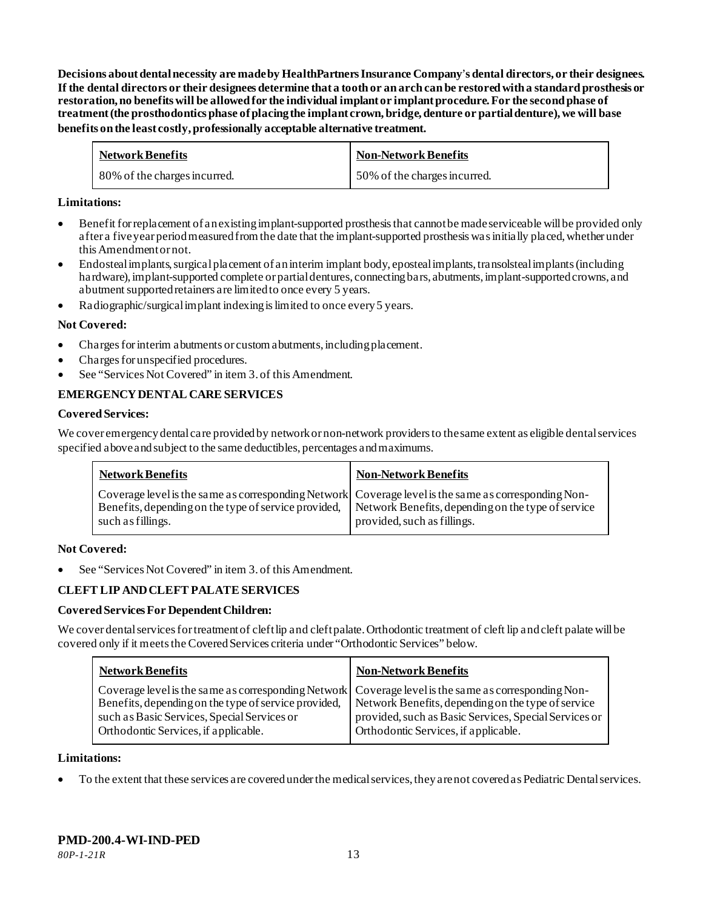**Decisions about dental necessity are made by HealthPartners Insurance Company**'**s dental directors, or their designees. If the dental directors or their designees determine that a tooth or an arch can be restored with a standard prosthesis or restoration, no benefits will be allowed for the individual implant or implant procedure. For the second phase of treatment (the prosthodontics phase of placing the implant crown, bridge, denture or partial denture), we will base benefits on the least costly, professionally acceptable alternative treatment.**

| <b>Network Benefits</b>      | <b>Non-Network Benefits</b>  |
|------------------------------|------------------------------|
| 80% of the charges incurred. | 50% of the charges incurred. |

#### **Limitations:**

- Benefit for replacement of an existing implant-supported prosthesis that cannot be made serviceable will be provided only after a five year period measured from the date that the implant-supported prosthesis was initially placed, whether under this Amendment or not.
- Endosteal implants, surgical placement of an interim implant body, eposteal implants, transolsteal implants (including hardware), implant-supported complete or partial dentures, connecting bars, abutments, implant-supported crowns, and abutment supported retainers are limited to once every 5 years.
- Radiographic/surgical implant indexing is limited to once every 5 years.

#### **Not Covered:**

- Charges for interim abutments or custom abutments, including placement.
- Charges for unspecified procedures.
- See "Services Not Covered" in item 3. of this Amendment.

#### **EMERGENCY DENTAL CARE SERVICES**

#### **Covered Services:**

We cover emergency dental care provided by network or non-network providersto the same extent as eligible dental services specified above and subject to the same deductibles, percentages and maximums.

| <b>Network Benefits</b> | <b>Non-Network Benefits</b>                                                                                                                                                                                                                    |
|-------------------------|------------------------------------------------------------------------------------------------------------------------------------------------------------------------------------------------------------------------------------------------|
| such as fillings.       | Coverage level is the same as corresponding Network Coverage level is the same as corresponding Non-<br>Benefits, depending on the type of service provided, Network Benefits, depending on the type of service<br>provided, such as fillings. |

#### **Not Covered:**

See "Services Not Covered" in item 3. of this Amendment.

#### **CLEFT LIP AND CLEFT PALATE SERVICES**

#### **Covered Services For Dependent Children:**

We cover dental services for treatment of cleft lip and cleft palate. Orthodontic treatment of cleft lip and cleft palate will be covered only if it meets the Covered Services criteria under "Orthodontic Services" below.

| <b>Network Benefits</b>                                                                                                                                                                                                                             | <b>Non-Network Benefits</b>                                                                                                                         |
|-----------------------------------------------------------------------------------------------------------------------------------------------------------------------------------------------------------------------------------------------------|-----------------------------------------------------------------------------------------------------------------------------------------------------|
| Coverage level is the same as corresponding Network Coverage level is the same as corresponding Non-<br>Benefits, depending on the type of service provided,<br>such as Basic Services, Special Services or<br>Orthodontic Services, if applicable. | Network Benefits, depending on the type of service<br>provided, such as Basic Services, Special Services or<br>Orthodontic Services, if applicable. |

#### **Limitations:**

• To the extent that these services are covered under the medical services, they are not covered as Pediatric Dental services.